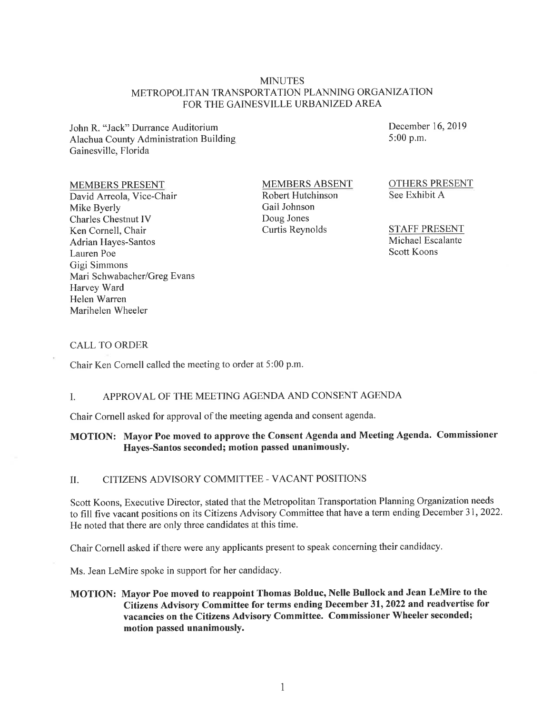#### MINUTES METROPOLITAN TRANSPORTATION PLANNING ORGANIZATION FOR THE GAINESVILLE URBANIZED AREA

John R. "Jack" Durrance Auditorium Alachua County Administration Building Gainesville, Florida

#### MEMBERS PRESENT

David Arreola, Vice-Chair Mike Byerly Charles Chestnut IV Ken Cornell, Chair Adrian Hayes-Santos Lauren Poe Gigi Simmons Mari Schwabacher/Greg Evans Harvey Ward Helen Warren Marihelen Wheeler

MEMBERS ABSENT Robert Hutchinson Gail Johnson Doug Jones Curtis Reynolds

December 16, 2019 5:00 p.m.

OTHERS PRESENT See Exhibit A

STAFF PRESENT Michael Escalante Scott Koons

#### CALL TO ORDER

Chair Ken Cornell called the meeting to order at 5 :00 p.m.

#### I. APPROVAL OF THE MEETING AGENDA AND CONSENT AGENDA

Chair Cornell asked for approval of the meeting agenda and consent agenda.

## **MOTION: Mayor Poe moved to approve the Consent Agenda and Meeting Agenda. Commissioner Hayes-Santos seconded; motion passed unanimously.**

#### II. CITIZENS ADVISORY COMMITTEE - VA CANT POSITIONS

Scott Koons, Executive Director, stated that the Metropolitan Transportation Planning Organization needs to fill five vacant positions on its Citizens Advisory Committee that have a term ending December 31, 2022. He noted that there are only three candidates at this time.

Chair Cornell asked if there were any applicants present to speak concerning their candidacy.

Ms. Jean LeMire spoke in support for her candidacy.

**MOTION: Mayor Poe moved to reappoint Thomas Bolduc, Nelle Bullock and Jean LeMire to the Citizens Advisory Committee for terms ending December 31, 2022 and readvertise for vacancies on the Citizens Advisory Committee. Commissioner Wheeler seconded; motion passed unanimously.**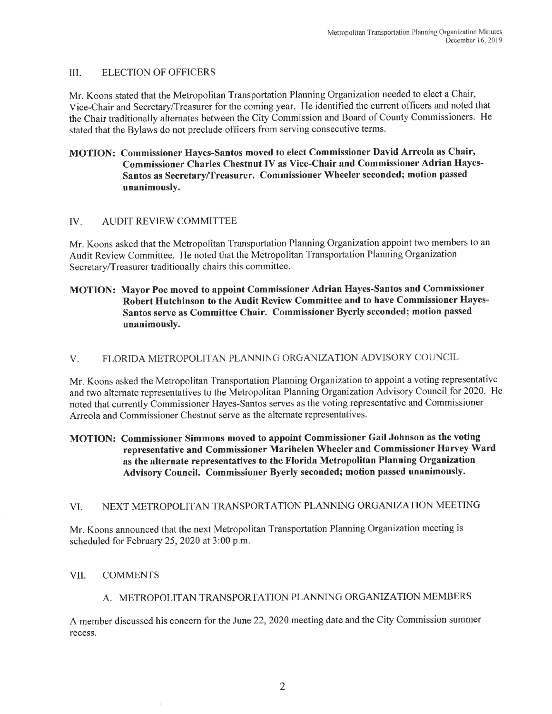#### III. ELECTION OF OFFICERS

Mr. Koons stated that the Metropolitan Transportation Planning Organization needed to elect a Chair, Vice-Chair and Secretary/Treasurer for the coming year. He identified the current officers and noted that the Chair traditionally alternates between the City Commission and Board of County Commissioners. He stated that the Bylaws do not preclude officers from serving consecutive terms.

### MOTION: Commissioner Hayes-Santos moved to elect Commissioner David Arreola as Chair, Commissioner Charles Chestnut IV as Vice-Chair and Commissioner Adrian Hayes-Santos as Secretary/Treasurer. Commissioner Wheeler seconded; motion passed unanimously.

### IV. AUDIT REVIEW COMMITTEE

Mr. Koons asked that the Metropolitan Transportation Planning Organization appoint two members to an Audit Review Committee. He noted that the Metropolitan Transportation Planning Organization Secretary/Treasurer traditionally chairs this committee.

## MOTION: Mayor Poe moved to appoint Commissioner Adrian Hayes-Santos and Commissioner Robert Hutchinson to the Audit Review Committee and to have Commissioner Hayes-Santos serve as Committee Chair. Commissioner Byerly seconded; motion passed unanimously.

# V. FLORIDA METROPOLITAN PLANNING ORGANIZATION ADVISORY COUNCIL

Mr. Koons asked the Metropolitan Transportation Planning Organization to appoint a voting representative and two alternate representatives to the Metropolitan Planning Organization Advisory Council for 2020. He noted that currently Commissioner Hayes-Santos serves as the voting representative and Commissioner Arreola and Commissioner Chestnut serve as the alternate representatives.

## MOTION: Commissioner Simmons moved to appoint Commissioner Gail Johnson as the voting representative and Commissioner Marihelen Wheeler and Commissioner Harvey Ward as the alternate representatives to the Florida Metropolitan Planning Organization Advisory Council. Commissioner Byerly seconded; motion passed unanimously.

#### VI. NEXT METROPOLITAN TRANSPORTATION PLANNING ORGANIZATION MEETING

Mr. Koons announced that the next Metropolitan Transportation Planning Organization meeting is scheduled for February 25, 2020 at 3:00 p.m.

## VII. COMMENTS

## A. METROPOLITAN TRANSPORTATION PLANNING ORGANIZATION MEMBERS

A member discussed his concern for the June 22, 2020 meeting date and the City Commission summer recess.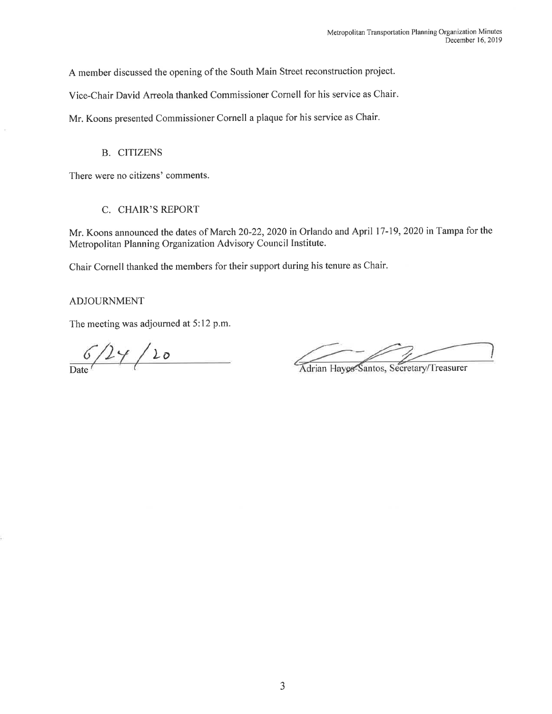A member discussed the opening of the South Main Street reconstruction project.

Vice-Chair David Arreola thanked Commissioner Cornell for his service as Chair.

Mr. Koons presented Commissioner Cornell a plaque for his service as Chair.

B. CITIZENS

There were no citizens' comments.

### C. CHAIR'S REPORT

Mr. Koons announced the dates of March 20-22, 2020 in Orlando and April 17-19, 2020 in Tampa for the Metropolitan Planning Organization Advisory Council Institute.

Chair Cornell thanked the members for their support during his tenure as Chair.

ADJOURNMENT

The meeting was adjourned at 5:12 p.m.

 $6/24/20$ 

Adrian Hayes-Santos, Secretary/Treasurer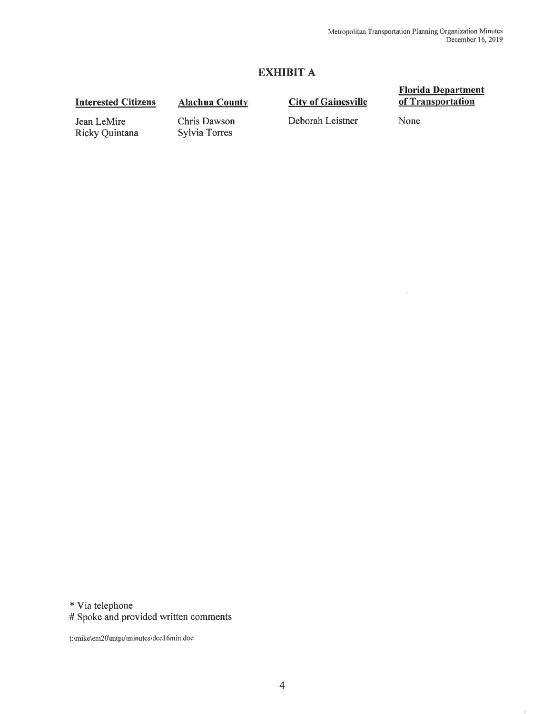# EXHIBIT A

## Interested Citizens

## Alachua County

## **City of Gainesville**

#### Florida Department of Transportation

 $\langle \psi \rangle$ 

Jean LeMire Ricky Quintana

Chris Dawson Sylvia Torres

Deborah Leistner

None

\*Via telephone

# Spoke and provided written comments

t:\rnike\em20\rntpo\minutes\decl 6min.doc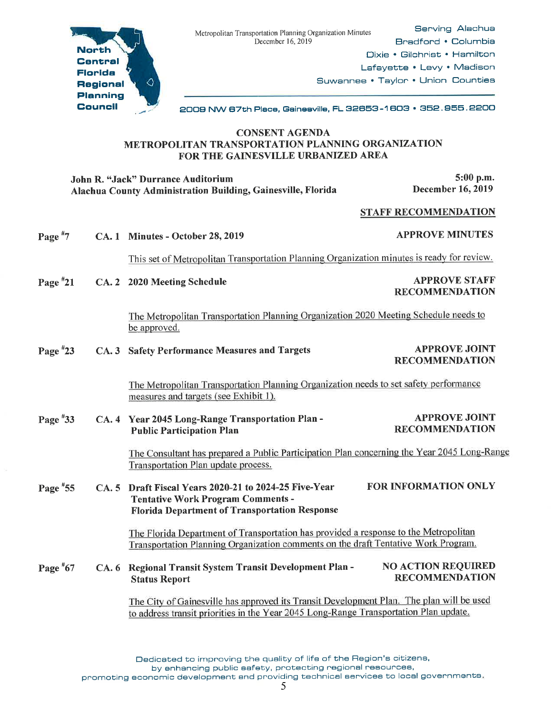

Serving Alachua Bradford • Columbia Dixie • Gilchrist • Hamilton Lafayette • Levy • Madison Suwannee • Taylor • Union Counties

2009 NW 87th Piece, Gainesville, FL 82658-1 SOS • 852. 956. 2200

## CONSENT AGENDA METROPOLITAN TRANSPORTATION PLANNING ORGANIZATION FOR THE GAINESVILLE URBANIZED AREA

| John R. "Jack" Durrance Auditorium<br>Alachua County Administration Building, Gainesville, Florida |  |                                                                                                                                                                                   | 5:00 p.m.<br><b>December 16, 2019</b>              |
|----------------------------------------------------------------------------------------------------|--|-----------------------------------------------------------------------------------------------------------------------------------------------------------------------------------|----------------------------------------------------|
|                                                                                                    |  |                                                                                                                                                                                   | <b>STAFF RECOMMENDATION</b>                        |
| Page $*7$                                                                                          |  | CA. 1 Minutes - October 28, 2019                                                                                                                                                  | <b>APPROVE MINUTES</b>                             |
|                                                                                                    |  | This set of Metropolitan Transportation Planning Organization minutes is ready for review.                                                                                        |                                                    |
| Page $*21$                                                                                         |  | CA. 2 2020 Meeting Schedule                                                                                                                                                       | <b>APPROVE STAFF</b><br><b>RECOMMENDATION</b>      |
|                                                                                                    |  | The Metropolitan Transportation Planning Organization 2020 Meeting Schedule needs to<br>be approved.                                                                              |                                                    |
| Page $*23$                                                                                         |  | CA. 3 Safety Performance Measures and Targets                                                                                                                                     | <b>APPROVE JOINT</b><br><b>RECOMMENDATION</b>      |
|                                                                                                    |  | The Metropolitan Transportation Planning Organization needs to set safety performance<br>measures and targets (see Exhibit 1).                                                    |                                                    |
| Page #33                                                                                           |  | CA. 4 Year 2045 Long-Range Transportation Plan -<br><b>Public Participation Plan</b>                                                                                              | <b>APPROVE JOINT</b><br><b>RECOMMENDATION</b>      |
|                                                                                                    |  | The Consultant has prepared a Public Participation Plan concerning the Year 2045 Long-Range<br>Transportation Plan update process.                                                |                                                    |
| Page $*55$                                                                                         |  | CA. 5 Draft Fiscal Years 2020-21 to 2024-25 Five-Year<br><b>Tentative Work Program Comments -</b><br><b>Florida Department of Transportation Response</b>                         | <b>FOR INFORMATION ONLY</b>                        |
|                                                                                                    |  | The Florida Department of Transportation has provided a response to the Metropolitan<br>Transportation Planning Organization comments on the draft Tentative Work Program.        |                                                    |
| Page $*67$                                                                                         |  | CA. 6 Regional Transit System Transit Development Plan -<br><b>Status Report</b>                                                                                                  | <b>NO ACTION REQUIRED</b><br><b>RECOMMENDATION</b> |
|                                                                                                    |  | The City of Gainesville has approved its Transit Development Plan. The plan will be used<br>to address transit priorities in the Year 2045 Long-Range Transportation Plan update. |                                                    |

Dedicated to improving the quality of life of the Region's citizens,

by enhancing public ssfety, protecting regional resources,

promoting economic development end providing technical services to local governments.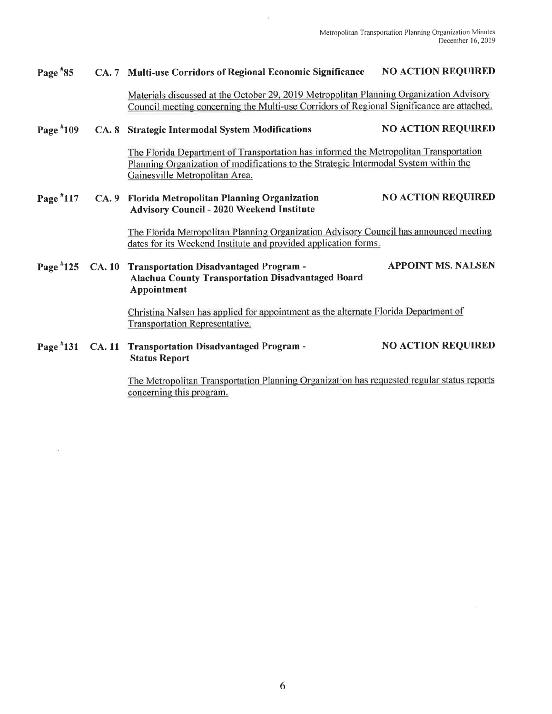#### Page #85 CA. 7 Multi-use Corridors of Regional Economic Significance NO ACTION REQUIRED

Materials discussed at the October 29, 2019 Metropolitan Planning Organization Advisory Council meeting concerning the Multi-use Corridors of Regional Significance are attached.

#### Page #109 CA. 8 Strategic Intermodal System Modifications NO ACTION REQUIRED

The Florida Department of Transportation has informed the Metropolitan Transportation Planning Organization of modifications to the Strategic Intermodal System within the Gainesville Metropolitan Area.

#### Page #117 CA. 9 Florida Metropolitan Planning Organization Advisory Council - 2020 Weekend Institute NO ACTION REQUIRED

The Florida Metropolitan Planning Organization Advisory Council has announced meeting dates for its Weekend Institute and provided application forms.

## Page #125 CA. 10 Transportation Disadvantaged Program - APPOINT MS. NALSEN Alachua County Transportation Disadvantaged Board Appointment

Christina Nalsen has applied for appointment as the alternate Florida Department of Transportation Representative.

#### Page #131 CA. 11 Transportation Disadvantaged Program - Status Report NO ACTION REQUIRED

The Metropolitan Transportation Planning Organization has requested regular status reports concerning this program.